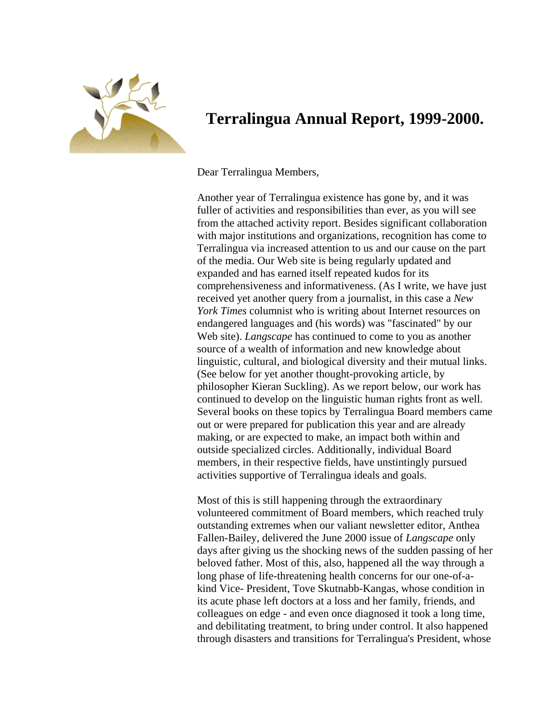

## **Terralingua Annual Report, 1999-2000.**

Dear Terralingua Members,

Another year of Terralingua existence has gone by, and it was fuller of activities and responsibilities than ever, as you will see from the attached activity report. Besides significant collaboration with major institutions and organizations, recognition has come to Terralingua via increased attention to us and our cause on the part of the media. Our Web site is being regularly updated and expanded and has earned itself repeated kudos for its comprehensiveness and informativeness. (As I write, we have just received yet another query from a journalist, in this case a *New York Times* columnist who is writing about Internet resources on endangered languages and (his words) was "fascinated" by our Web site). *Langscape* has continued to come to you as another source of a wealth of information and new knowledge about linguistic, cultural, and biological diversity and their mutual links. (See below for yet another thought-provoking article, by philosopher Kieran Suckling). As we report below, our work has continued to develop on the linguistic human rights front as well. Several books on these topics by Terralingua Board members came out or were prepared for publication this year and are already making, or are expected to make, an impact both within and outside specialized circles. Additionally, individual Board members, in their respective fields, have unstintingly pursued activities supportive of Terralingua ideals and goals.

Most of this is still happening through the extraordinary volunteered commitment of Board members, which reached truly outstanding extremes when our valiant newsletter editor, Anthea Fallen-Bailey, delivered the June 2000 issue of *Langscape* only days after giving us the shocking news of the sudden passing of her beloved father. Most of this, also, happened all the way through a long phase of life-threatening health concerns for our one-of-akind Vice- President, Tove Skutnabb-Kangas, whose condition in its acute phase left doctors at a loss and her family, friends, and colleagues on edge - and even once diagnosed it took a long time, and debilitating treatment, to bring under control. It also happened through disasters and transitions for Terralingua's President, whose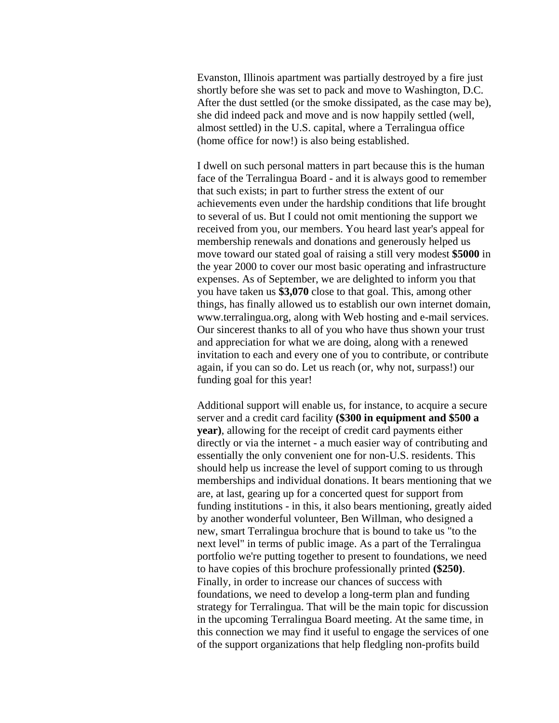Evanston, Illinois apartment was partially destroyed by a fire just shortly before she was set to pack and move to Washington, D.C. After the dust settled (or the smoke dissipated, as the case may be), she did indeed pack and move and is now happily settled (well, almost settled) in the U.S. capital, where a Terralingua office (home office for now!) is also being established.

I dwell on such personal matters in part because this is the human face of the Terralingua Board - and it is always good to remember that such exists; in part to further stress the extent of our achievements even under the hardship conditions that life brought to several of us. But I could not omit mentioning the support we received from you, our members. You heard last year's appeal for membership renewals and donations and generously helped us move toward our stated goal of raising a still very modest **\$5000** in the year 2000 to cover our most basic operating and infrastructure expenses. As of September, we are delighted to inform you that you have taken us **\$3,070** close to that goal. This, among other things, has finally allowed us to establish our own internet domain, www.terralingua.org, along with Web hosting and e-mail services. Our sincerest thanks to all of you who have thus shown your trust and appreciation for what we are doing, along with a renewed invitation to each and every one of you to contribute, or contribute again, if you can so do. Let us reach (or, why not, surpass!) our funding goal for this year!

Additional support will enable us, for instance, to acquire a secure server and a credit card facility **(\$300 in equipment and \$500 a year)**, allowing for the receipt of credit card payments either directly or via the internet - a much easier way of contributing and essentially the only convenient one for non-U.S. residents. This should help us increase the level of support coming to us through memberships and individual donations. It bears mentioning that we are, at last, gearing up for a concerted quest for support from funding institutions - in this, it also bears mentioning, greatly aided by another wonderful volunteer, Ben Willman, who designed a new, smart Terralingua brochure that is bound to take us "to the next level" in terms of public image. As a part of the Terralingua portfolio we're putting together to present to foundations, we need to have copies of this brochure professionally printed **(\$250)**. Finally, in order to increase our chances of success with foundations, we need to develop a long-term plan and funding strategy for Terralingua. That will be the main topic for discussion in the upcoming Terralingua Board meeting. At the same time, in this connection we may find it useful to engage the services of one of the support organizations that help fledgling non-profits build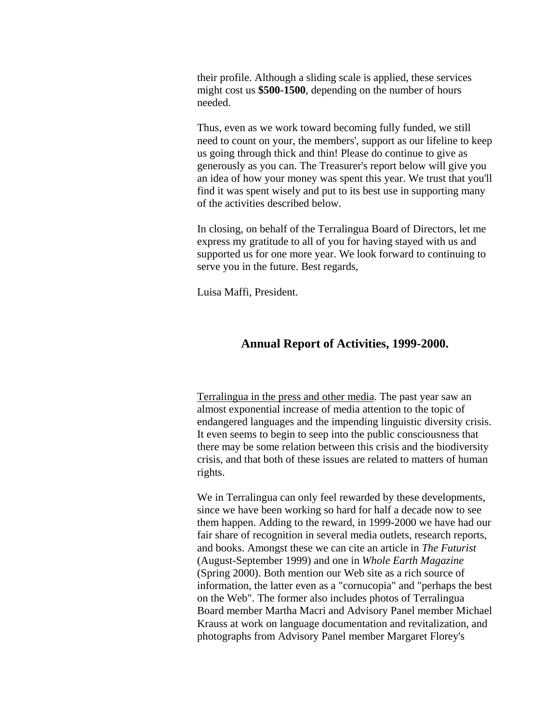their profile. Although a sliding scale is applied, these services might cost us **\$500-1500**, depending on the number of hours needed.

Thus, even as we work toward becoming fully funded, we still need to count on your, the members', support as our lifeline to keep us going through thick and thin! Please do continue to give as generously as you can. The Treasurer's report below will give you an idea of how your money was spent this year. We trust that you'll find it was spent wisely and put to its best use in supporting many of the activities described below.

In closing, on behalf of the Terralingua Board of Directors, let me express my gratitude to all of you for having stayed with us and supported us for one more year. We look forward to continuing to serve you in the future. Best regards,

Luisa Maffi, President.

## **Annual Report of Activities, 1999-2000.**

Terralingua in the press and other media. The past year saw an almost exponential increase of media attention to the topic of endangered languages and the impending linguistic diversity crisis. It even seems to begin to seep into the public consciousness that there may be some relation between this crisis and the biodiversity crisis, and that both of these issues are related to matters of human rights.

We in Terralingua can only feel rewarded by these developments, since we have been working so hard for half a decade now to see them happen. Adding to the reward, in 1999-2000 we have had our fair share of recognition in several media outlets, research reports, and books. Amongst these we can cite an article in *The Futurist*  (August-September 1999) and one in *Whole Earth Magazine*  (Spring 2000). Both mention our Web site as a rich source of information, the latter even as a "cornucopia" and "perhaps the best on the Web". The former also includes photos of Terralingua Board member Martha Macri and Advisory Panel member Michael Krauss at work on language documentation and revitalization, and photographs from Advisory Panel member Margaret Florey's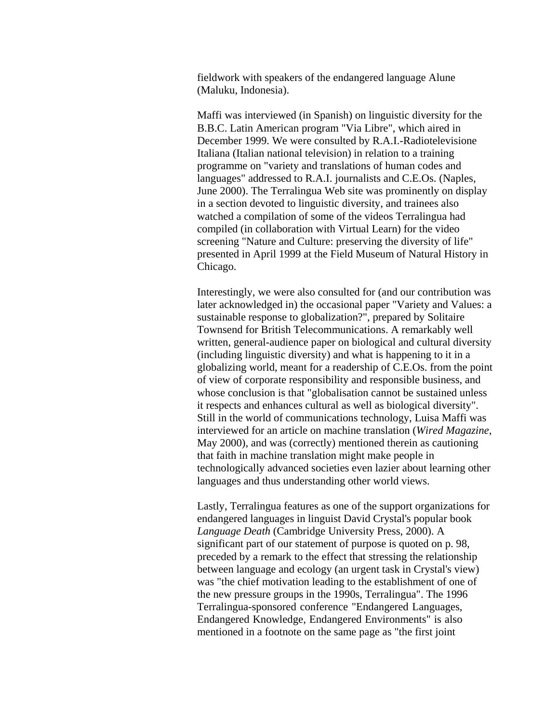fieldwork with speakers of the endangered language Alune (Maluku, Indonesia).

Maffi was interviewed (in Spanish) on linguistic diversity for the B.B.C. Latin American program "Via Libre", which aired in December 1999. We were consulted by R.A.I.-Radiotelevisione Italiana (Italian national television) in relation to a training programme on "variety and translations of human codes and languages" addressed to R.A.I. journalists and C.E.Os. (Naples, June 2000). The Terralingua Web site was prominently on display in a section devoted to linguistic diversity, and trainees also watched a compilation of some of the videos Terralingua had compiled (in collaboration with Virtual Learn) for the video screening "Nature and Culture: preserving the diversity of life" presented in April 1999 at the Field Museum of Natural History in Chicago.

Interestingly, we were also consulted for (and our contribution was later acknowledged in) the occasional paper "Variety and Values: a sustainable response to globalization?", prepared by Solitaire Townsend for British Telecommunications. A remarkably well written, general-audience paper on biological and cultural diversity (including linguistic diversity) and what is happening to it in a globalizing world, meant for a readership of C.E.Os. from the point of view of corporate responsibility and responsible business, and whose conclusion is that "globalisation cannot be sustained unless it respects and enhances cultural as well as biological diversity". Still in the world of communications technology, Luisa Maffi was interviewed for an article on machine translation (*Wired Magazine*, May 2000), and was (correctly) mentioned therein as cautioning that faith in machine translation might make people in technologically advanced societies even lazier about learning other languages and thus understanding other world views.

Lastly, Terralingua features as one of the support organizations for endangered languages in linguist David Crystal's popular book *Language Death* (Cambridge University Press, 2000). A significant part of our statement of purpose is quoted on p. 98, preceded by a remark to the effect that stressing the relationship between language and ecology (an urgent task in Crystal's view) was "the chief motivation leading to the establishment of one of the new pressure groups in the 1990s, Terralingua". The 1996 Terralingua-sponsored conference "Endangered Languages, Endangered Knowledge, Endangered Environments" is also mentioned in a footnote on the same page as "the first joint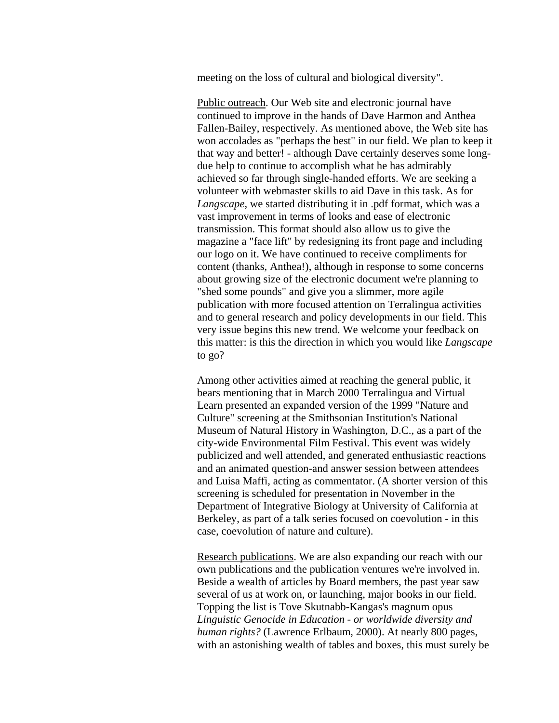meeting on the loss of cultural and biological diversity".

Public outreach. Our Web site and electronic journal have continued to improve in the hands of Dave Harmon and Anthea Fallen-Bailey, respectively. As mentioned above, the Web site has won accolades as "perhaps the best" in our field. We plan to keep it that way and better! - although Dave certainly deserves some longdue help to continue to accomplish what he has admirably achieved so far through single-handed efforts. We are seeking a volunteer with webmaster skills to aid Dave in this task. As for *Langscape*, we started distributing it in .pdf format, which was a vast improvement in terms of looks and ease of electronic transmission. This format should also allow us to give the magazine a "face lift" by redesigning its front page and including our logo on it. We have continued to receive compliments for content (thanks, Anthea!), although in response to some concerns about growing size of the electronic document we're planning to "shed some pounds" and give you a slimmer, more agile publication with more focused attention on Terralingua activities and to general research and policy developments in our field. This very issue begins this new trend. We welcome your feedback on this matter: is this the direction in which you would like *Langscape* to go?

Among other activities aimed at reaching the general public, it bears mentioning that in March 2000 Terralingua and Virtual Learn presented an expanded version of the 1999 "Nature and Culture" screening at the Smithsonian Institution's National Museum of Natural History in Washington, D.C., as a part of the city-wide Environmental Film Festival. This event was widely publicized and well attended, and generated enthusiastic reactions and an animated question-and answer session between attendees and Luisa Maffi, acting as commentator. (A shorter version of this screening is scheduled for presentation in November in the Department of Integrative Biology at University of California at Berkeley, as part of a talk series focused on coevolution - in this case, coevolution of nature and culture).

Research publications. We are also expanding our reach with our own publications and the publication ventures we're involved in. Beside a wealth of articles by Board members, the past year saw several of us at work on, or launching, major books in our field. Topping the list is Tove Skutnabb-Kangas's magnum opus *Linguistic Genocide in Education - or worldwide diversity and human rights?* (Lawrence Erlbaum, 2000). At nearly 800 pages, with an astonishing wealth of tables and boxes, this must surely be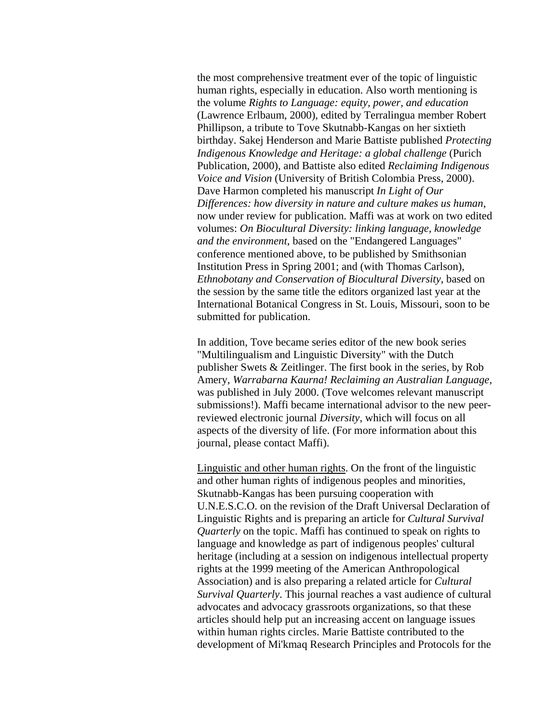the most comprehensive treatment ever of the topic of linguistic human rights, especially in education. Also worth mentioning is the volume *Rights to Language: equity, power, and education*  (Lawrence Erlbaum, 2000), edited by Terralingua member Robert Phillipson, a tribute to Tove Skutnabb-Kangas on her sixtieth birthday. Sakej Henderson and Marie Battiste published *Protecting Indigenous Knowledge and Heritage: a global challenge* (Purich Publication, 2000), and Battiste also edited *Reclaiming Indigenous Voice and Vision* (University of British Colombia Press, 2000). Dave Harmon completed his manuscript *In Light of Our Differences: how diversity in nature and culture makes us human*, now under review for publication. Maffi was at work on two edited volumes: *On Biocultural Diversity: linking language, knowledge and the environment*, based on the "Endangered Languages" conference mentioned above, to be published by Smithsonian Institution Press in Spring 2001; and (with Thomas Carlson), *Ethnobotany and Conservation of Biocultural Diversity*, based on the session by the same title the editors organized last year at the International Botanical Congress in St. Louis, Missouri, soon to be submitted for publication.

In addition, Tove became series editor of the new book series "Multilingualism and Linguistic Diversity" with the Dutch publisher Swets & Zeitlinger. The first book in the series, by Rob Amery, *Warrabarna Kaurna! Reclaiming an Australian Language*, was published in July 2000. (Tove welcomes relevant manuscript submissions!). Maffi became international advisor to the new peerreviewed electronic journal *Diversity*, which will focus on all aspects of the diversity of life. (For more information about this journal, please contact Maffi).

Linguistic and other human rights. On the front of the linguistic and other human rights of indigenous peoples and minorities, Skutnabb-Kangas has been pursuing cooperation with U.N.E.S.C.O. on the revision of the Draft Universal Declaration of Linguistic Rights and is preparing an article for *Cultural Survival Quarterly* on the topic. Maffi has continued to speak on rights to language and knowledge as part of indigenous peoples' cultural heritage (including at a session on indigenous intellectual property rights at the 1999 meeting of the American Anthropological Association) and is also preparing a related article for *Cultural Survival Quarterly*. This journal reaches a vast audience of cultural advocates and advocacy grassroots organizations, so that these articles should help put an increasing accent on language issues within human rights circles. Marie Battiste contributed to the development of Mi'kmaq Research Principles and Protocols for the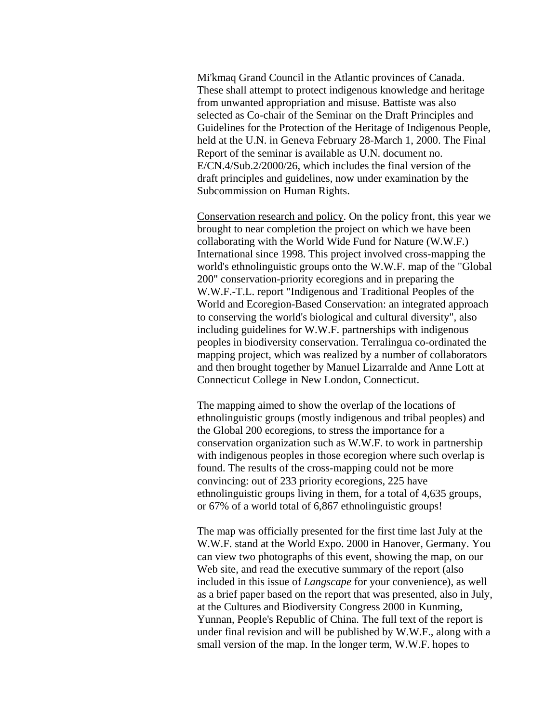Mi'kmaq Grand Council in the Atlantic provinces of Canada. These shall attempt to protect indigenous knowledge and heritage from unwanted appropriation and misuse. Battiste was also selected as Co-chair of the Seminar on the Draft Principles and Guidelines for the Protection of the Heritage of Indigenous People, held at the U.N. in Geneva February 28-March 1, 2000. The Final Report of the seminar is available as U.N. document no. E/CN.4/Sub.2/2000/26, which includes the final version of the draft principles and guidelines, now under examination by the Subcommission on Human Rights.

Conservation research and policy. On the policy front, this year we brought to near completion the project on which we have been collaborating with the World Wide Fund for Nature (W.W.F.) International since 1998. This project involved cross-mapping the world's ethnolinguistic groups onto the W.W.F. map of the "Global 200" conservation-priority ecoregions and in preparing the W.W.F.-T.L. report "Indigenous and Traditional Peoples of the World and Ecoregion-Based Conservation: an integrated approach to conserving the world's biological and cultural diversity", also including guidelines for W.W.F. partnerships with indigenous peoples in biodiversity conservation. Terralingua co-ordinated the mapping project, which was realized by a number of collaborators and then brought together by Manuel Lizarralde and Anne Lott at Connecticut College in New London, Connecticut.

The mapping aimed to show the overlap of the locations of ethnolinguistic groups (mostly indigenous and tribal peoples) and the Global 200 ecoregions, to stress the importance for a conservation organization such as W.W.F. to work in partnership with indigenous peoples in those ecoregion where such overlap is found. The results of the cross-mapping could not be more convincing: out of 233 priority ecoregions, 225 have ethnolinguistic groups living in them, for a total of 4,635 groups, or 67% of a world total of 6,867 ethnolinguistic groups!

The map was officially presented for the first time last July at the W.W.F. stand at the World Expo. 2000 in Hanover, Germany. You can view two photographs of this event, showing the map, on our Web site, and read the executive summary of the report (also included in this issue of *Langscape* for your convenience), as well as a brief paper based on the report that was presented, also in July, at the Cultures and Biodiversity Congress 2000 in Kunming, Yunnan, People's Republic of China. The full text of the report is under final revision and will be published by W.W.F., along with a small version of the map. In the longer term, W.W.F. hopes to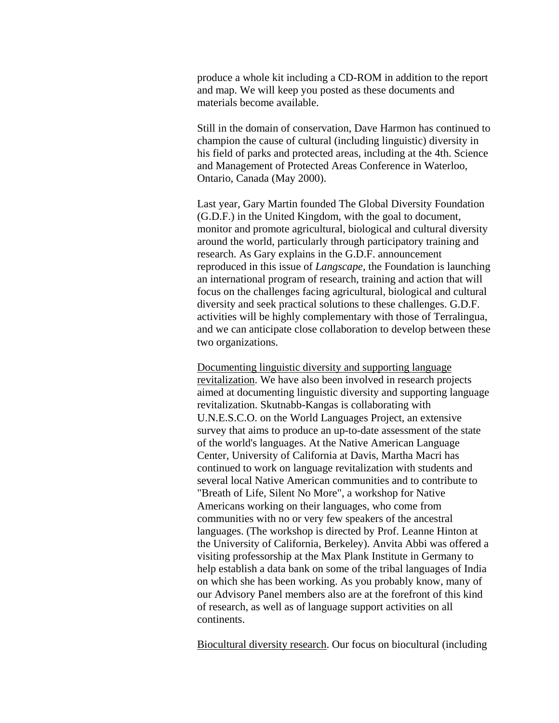produce a whole kit including a CD-ROM in addition to the report and map. We will keep you posted as these documents and materials become available.

Still in the domain of conservation, Dave Harmon has continued to champion the cause of cultural (including linguistic) diversity in his field of parks and protected areas, including at the 4th. Science and Management of Protected Areas Conference in Waterloo, Ontario, Canada (May 2000).

Last year, Gary Martin founded The Global Diversity Foundation (G.D.F.) in the United Kingdom, with the goal to document, monitor and promote agricultural, biological and cultural diversity around the world, particularly through participatory training and research. As Gary explains in the G.D.F. announcement reproduced in this issue of *Langscape*, the Foundation is launching an international program of research, training and action that will focus on the challenges facing agricultural, biological and cultural diversity and seek practical solutions to these challenges. G.D.F. activities will be highly complementary with those of Terralingua, and we can anticipate close collaboration to develop between these two organizations.

Documenting linguistic diversity and supporting language revitalization. We have also been involved in research projects aimed at documenting linguistic diversity and supporting language revitalization. Skutnabb-Kangas is collaborating with U.N.E.S.C.O. on the World Languages Project, an extensive survey that aims to produce an up-to-date assessment of the state of the world's languages. At the Native American Language Center, University of California at Davis, Martha Macri has continued to work on language revitalization with students and several local Native American communities and to contribute to "Breath of Life, Silent No More", a workshop for Native Americans working on their languages, who come from communities with no or very few speakers of the ancestral languages. (The workshop is directed by Prof. Leanne Hinton at the University of California, Berkeley). Anvita Abbi was offered a visiting professorship at the Max Plank Institute in Germany to help establish a data bank on some of the tribal languages of India on which she has been working. As you probably know, many of our Advisory Panel members also are at the forefront of this kind of research, as well as of language support activities on all continents.

Biocultural diversity research. Our focus on biocultural (including